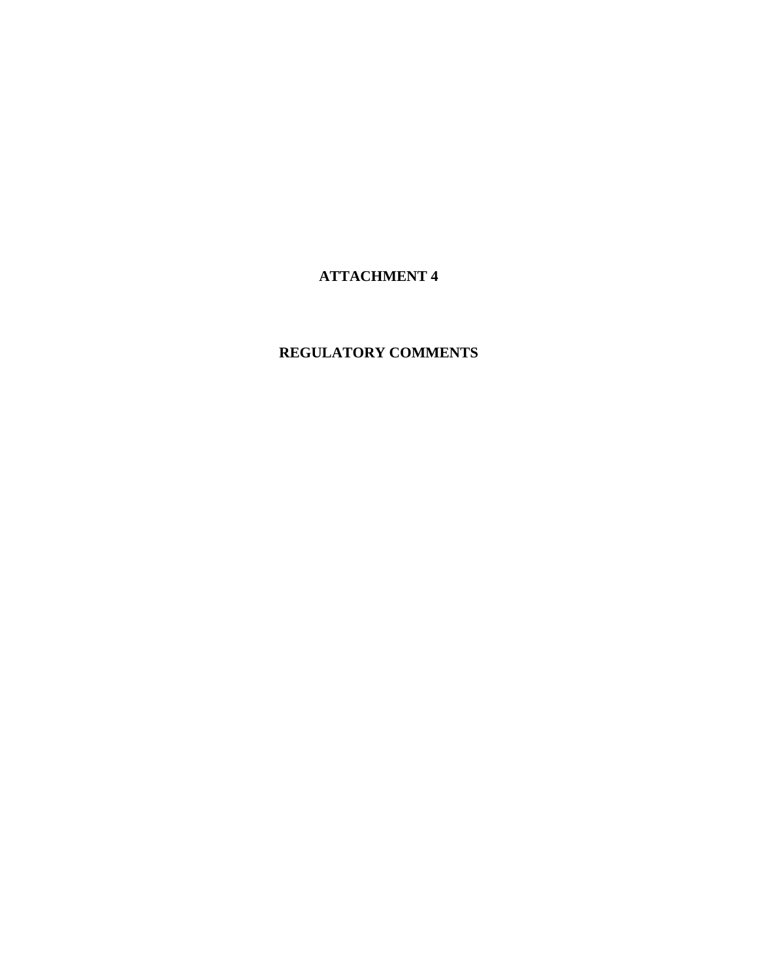# **ATTACHMENT 4**

# **REGULATORY COMMENTS**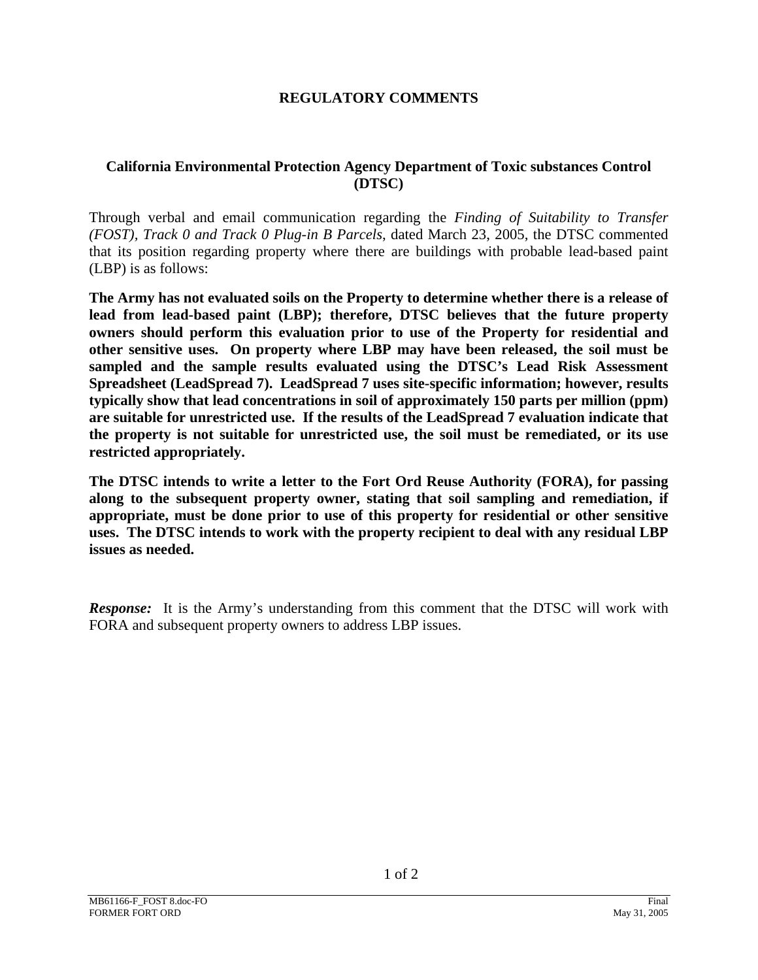#### **REGULATORY COMMENTS**

#### **California Environmental Protection Agency Department of Toxic substances Control (DTSC)**

Through verbal and email communication regarding the *Finding of Suitability to Transfer (FOST), Track 0 and Track 0 Plug-in B Parcels*, dated March 23, 2005, the DTSC commented that its position regarding property where there are buildings with probable lead-based paint (LBP) is as follows:

**The Army has not evaluated soils on the Property to determine whether there is a release of lead from lead-based paint (LBP); therefore, DTSC believes that the future property owners should perform this evaluation prior to use of the Property for residential and other sensitive uses. On property where LBP may have been released, the soil must be sampled and the sample results evaluated using the DTSC's Lead Risk Assessment Spreadsheet (LeadSpread 7). LeadSpread 7 uses site-specific information; however, results typically show that lead concentrations in soil of approximately 150 parts per million (ppm) are suitable for unrestricted use. If the results of the LeadSpread 7 evaluation indicate that the property is not suitable for unrestricted use, the soil must be remediated, or its use restricted appropriately.** 

**The DTSC intends to write a letter to the Fort Ord Reuse Authority (FORA), for passing along to the subsequent property owner, stating that soil sampling and remediation, if appropriate, must be done prior to use of this property for residential or other sensitive uses. The DTSC intends to work with the property recipient to deal with any residual LBP issues as needed.** 

**Response:** It is the Army's understanding from this comment that the DTSC will work with FORA and subsequent property owners to address LBP issues.